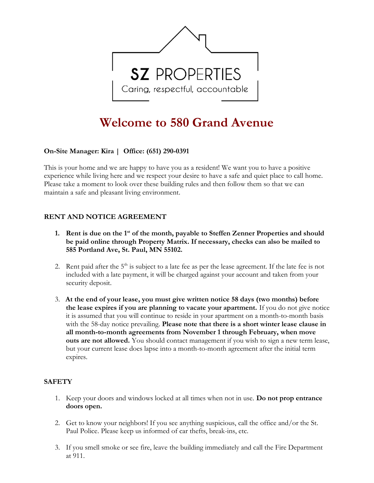

# Welcome to 580 Grand Avenue

## On-Site Manager: **Kira** | Office: (651) 290-0391

This is your home and we are happy to have you as a resident! We want you to have a positive experience while living here and we respect your desire to have a safe and quiet place to call home. Please take a moment to look over these building rules and then follow them so that we can maintain a safe and pleasant living environment.

## RENT AND NOTICE AGREEMENT

- 1. Rent is due on the 1<sup>st</sup> of the month, payable to Steffen Zenner Properties and should be paid online through Property Matrix. If necessary, checks can also be mailed to 585 Portland Ave, St. Paul, MN 55102.
- 2. Rent paid after the  $5<sup>th</sup>$  is subject to a late fee as per the lease agreement. If the late fee is not included with a late payment, it will be charged against your account and taken from your security deposit.
- 3. At the end of your lease, you must give written notice 58 days (two months) before the lease expires if you are planning to vacate your apartment. If you do not give notice it is assumed that you will continue to reside in your apartment on a month-to-month basis with the 58-day notice prevailing. **Please note that there is a short winter lease clause in** all month-to-month agreements from November 1 through February, when move outs are not allowed. You should contact management if you wish to sign a new term lease, but your current lease does lapse into a month-to-month agreement after the initial term expires.

#### **SAFETY**

- 1. Keep your doors and windows locked at all times when not in use. Do not prop entrance doors open.
- 2. Get to know your neighbors! If you see anything suspicious, call the office and/or the St. Paul Police. Please keep us informed of car thefts, break-ins, etc.
- 3. If you smell smoke or see fire, leave the building immediately and call the Fire Department at 911.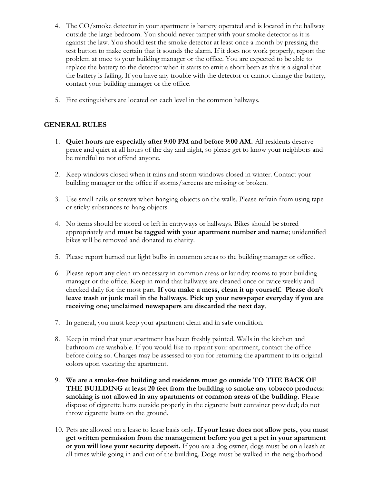- 4. The CO/smoke detector in your apartment is battery operated and is located in the hallway outside the large bedroom. You should never tamper with your smoke detector as it is against the law. You should test the smoke detector at least once a month by pressing the test button to make certain that it sounds the alarm. If it does not work properly, report the problem at once to your building manager or the office. You are expected to be able to replace the battery to the detector when it starts to emit a short beep as this is a signal that the battery is failing. If you have any trouble with the detector or cannot change the battery, contact your building manager or the office.
- 5. Fire extinguishers are located on each level in the common hallways.

#### GENERAL RULES

- 1. Quiet hours are especially after 9:00 PM and before 9:00 AM. All residents deserve peace and quiet at all hours of the day and night, so please get to know your neighbors and be mindful to not offend anyone.
- 2. Keep windows closed when it rains and storm windows closed in winter. Contact your building manager or the office if storms/screens are missing or broken.
- 3. Use small nails or screws when hanging objects on the walls. Please refrain from using tape or sticky substances to hang objects.
- 4. No items should be stored or left in entryways or hallways. Bikes should be stored appropriately and must be tagged with your apartment number and name; unidentified bikes will be removed and donated to charity.
- 5. Please report burned out light bulbs in common areas to the building manager or office.
- 6. Please report any clean up necessary in common areas or laundry rooms to your building manager or the office. Keep in mind that hallways are cleaned once or twice weekly and checked daily for the most part. If you make a mess, clean it up yourself. Please don't leave trash or junk mail in the hallways. Pick up your newspaper everyday if you are receiving one; unclaimed newspapers are discarded the next day.
- 7. In general, you must keep your apartment clean and in safe condition.
- 8. Keep in mind that your apartment has been freshly painted. Walls in the kitchen and bathroom are washable. If you would like to repaint your apartment, contact the office before doing so. Charges may be assessed to you for returning the apartment to its original colors upon vacating the apartment.
- 9. We are a smoke-free building and residents must go outside TO THE BACK OF THE BUILDING at least 20 feet from the building to smoke any tobacco products: smoking is not allowed in any apartments or common areas of the building. Please dispose of cigarette butts outside properly in the cigarette butt container provided; do not throw cigarette butts on the ground.
- 10. Pets are allowed on a lease to lease basis only. If your lease does not allow pets, you must get written permission from the management before you get a pet in your apartment or you will lose your security deposit. If you are a dog owner, dogs must be on a leash at all times while going in and out of the building. Dogs must be walked in the neighborhood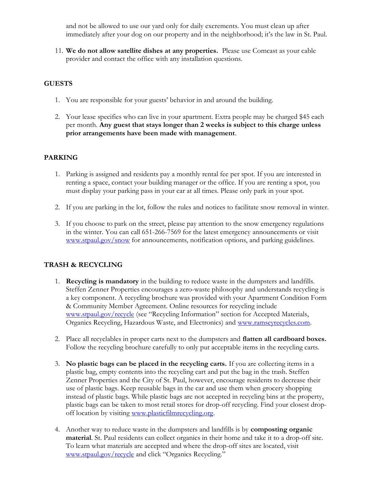and not be allowed to use our yard only for daily excrements. You must clean up after immediately after your dog on our property and in the neighborhood; it's the law in St. Paul.

11. We do not allow satellite dishes at any properties. Please use Comcast as your cable provider and contact the office with any installation questions.

## **GUESTS**

- 1. You are responsible for your guests' behavior in and around the building.
- 2. Your lease specifies who can live in your apartment. Extra people may be charged \$45 each per month. Any guest that stays longer than 2 weeks is subject to this charge unless prior arrangements have been made with management.

#### PARKING

- 1. Parking is assigned and residents pay a monthly rental fee per spot. If you are interested in renting a space, contact your building manager or the office. If you are renting a spot, you must display your parking pass in your car at all times. Please only park in your spot.
- 2. If you are parking in the lot, follow the rules and notices to facilitate snow removal in winter.
- 3. If you choose to park on the street, please pay attention to the snow emergency regulations in the winter. You can call 651-266-7569 for the latest emergency announcements or visit www.stpaul.gov/snow for announcements, notification options, and parking guidelines.

## TRASH & RECYCLING

- 1. Recycling is mandatory in the building to reduce waste in the dumpsters and landfills. Steffen Zenner Properties encourages a zero-waste philosophy and understands recycling is a key component. A recycling brochure was provided with your Apartment Condition Form & Community Member Agreement. Online resources for recycling include www.stpaul.gov/recycle (see "Recycling Information" section for Accepted Materials, Organics Recycling, Hazardous Waste, and Electronics) and www.ramseyrecycles.com.
- 2. Place all recyclables in proper carts next to the dumpsters and **flatten all cardboard boxes.** Follow the recycling brochure carefully to only put acceptable items in the recycling carts.
- 3. No plastic bags can be placed in the recycling carts. If you are collecting items in a plastic bag, empty contents into the recycling cart and put the bag in the trash. Steffen Zenner Properties and the City of St. Paul, however, encourage residents to decrease their use of plastic bags. Keep reusable bags in the car and use them when grocery shopping instead of plastic bags. While plastic bags are not accepted in recycling bins at the property, plastic bags can be taken to most retail stores for drop-off recycling. Find your closest dropoff location by visiting www.plasticfilmrecycling.org.
- 4. Another way to reduce waste in the dumpsters and landfills is by composting organic material. St. Paul residents can collect organics in their home and take it to a drop-off site. To learn what materials are accepted and where the drop-off sites are located, visit www.stpaul.gov/recycle and click "Organics Recycling."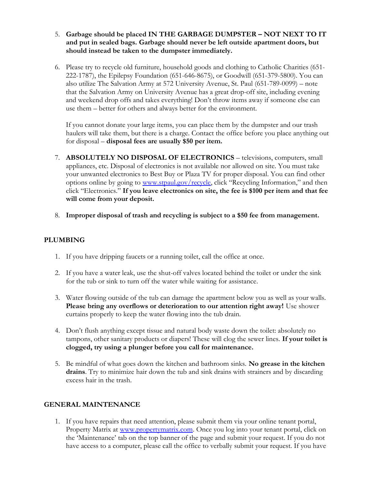- 5. Garbage should be placed IN THE GARBAGE DUMPSTER NOT NEXT TO IT and put in sealed bags. Garbage should never be left outside apartment doors, but should instead be taken to the dumpster immediately.
- 6. Please try to recycle old furniture, household goods and clothing to Catholic Charities (651- 222-1787), the Epilepsy Foundation (651-646-8675), or Goodwill (651-379-5800). You can also utilize The Salvation Army at 572 University Avenue, St. Paul (651-789-0099) – note that the Salvation Army on University Avenue has a great drop-off site, including evening and weekend drop offs and takes everything! Don't throw items away if someone else can use them – better for others and always better for the environment.

If you cannot donate your large items, you can place them by the dumpster and our trash haulers will take them, but there is a charge. Contact the office before you place anything out for disposal – disposal fees are usually \$50 per item.

- 7. ABSOLUTELY NO DISPOSAL OF ELECTRONICS televisions, computers, small appliances, etc. Disposal of electronics is not available nor allowed on site. You must take your unwanted electronics to Best Buy or Plaza TV for proper disposal. You can find other options online by going to www.stpaul.gov/recycle, click "Recycling Information," and then click "Electronics." If you leave electronics on site, the fee is \$100 per item and that fee will come from your deposit.
- 8. Improper disposal of trash and recycling is subject to a \$50 fee from management.

#### PLUMBING

- 1. If you have dripping faucets or a running toilet, call the office at once.
- 2. If you have a water leak, use the shut-off valves located behind the toilet or under the sink for the tub or sink to turn off the water while waiting for assistance.
- 3. Water flowing outside of the tub can damage the apartment below you as well as your walls. Please bring any overflows or deterioration to our attention right away! Use shower curtains properly to keep the water flowing into the tub drain.
- 4. Don't flush anything except tissue and natural body waste down the toilet: absolutely no tampons, other sanitary products or diapers! These will clog the sewer lines. If your toilet is clogged, try using a plunger before you call for maintenance.
- 5. Be mindful of what goes down the kitchen and bathroom sinks. No grease in the kitchen drains. Try to minimize hair down the tub and sink drains with strainers and by discarding excess hair in the trash.

## GENERAL MAINTENANCE

1. If you have repairs that need attention, please submit them via your online tenant portal, Property Matrix at www.propertymatrix.com. Once you log into your tenant portal, click on the 'Maintenance' tab on the top banner of the page and submit your request. If you do not have access to a computer, please call the office to verbally submit your request. If you have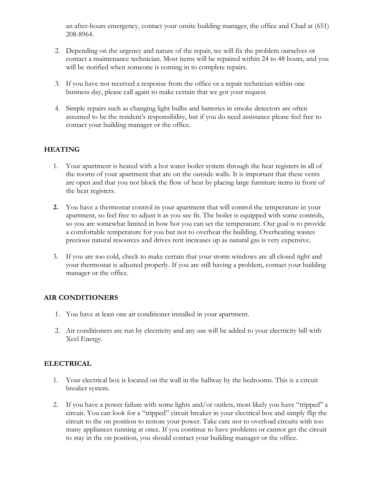an after-hours emergency, contact your onsite building manager, the office and Chad at (651) 208-8964.

- 2. Depending on the urgency and nature of the repair, we will fix the problem ourselves or contact a maintenance technician. Most items will be repaired within 24 to 48 hours, and you will be notified when someone is coming in to complete repairs.
- 3. If you have not received a response from the office or a repair technician within one business day, please call again to make certain that we got your request.
- 4. Simple repairs such as changing light bulbs and batteries in smoke detectors are often assumed to be the resident's responsibility, but if you do need assistance please feel free to contact your building manager or the office.

## **HEATING**

- 1. Your apartment is heated with a hot water boiler system through the heat registers in all of the rooms of your apartment that are on the outside walls. It is important that these vents are open and that you not block the flow of heat by placing large furniture items in front of the heat registers.
- 2. You have a thermostat control in your apartment that will control the temperature in your apartment, so feel free to adjust it as you see fit. The boiler is equipped with some controls, so you are somewhat limited in how hot you can set the temperature. Our goal is to provide a comfortable temperature for you but not to overheat the building. Overheating wastes precious natural resources and drives rent increases up as natural gas is very expensive.
- 3. If you are too cold, check to make certain that your storm windows are all closed tight and your thermostat is adjusted properly. If you are still having a problem, contact your building manager or the office.

## AIR CONDITIONERS

- 1. You have at least one air conditioner installed in your apartment.
- 2. Air conditioners are run by electricity and any use will be added to your electricity bill with Xcel Energy.

## ELECTRICAL

- 1. Your electrical box is located on the wall in the hallway by the bedrooms. This is a circuit breaker system.
- 2. If you have a power failure with some lights and/or outlets, most likely you have "tripped" a circuit. You can look for a "tripped" circuit breaker in your electrical box and simply flip the circuit to the on position to restore your power. Take care not to overload circuits with too many appliances running at once. If you continue to have problems or cannot get the circuit to stay in the on position, you should contact your building manager or the office.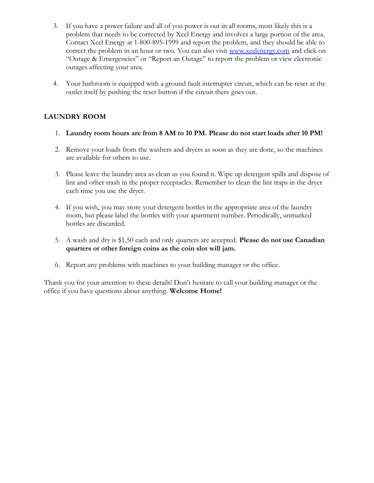- 3. If you have a power failure and all of you power is out in all rooms, most likely this is a problem that needs to be corrected by Xcel Energy and involves a large portion of the area. Contact Xcel Energy at 1-800-895-1999 and report the problem, and they should be able to correct the problem in an hour or two. You can also visit www.xcelenergy.com and click on "Outage & Emergencies" or "Report an Outage" to report the problem or view electronic outages affecting your area.
- 4. Your bathroom is equipped with a ground fault interrupter circuit, which can be reset at the outlet itself by pushing the reset button if the circuit there goes out.

## LAUNDRY ROOM

- 1. Laundry room hours are from 8 AM to 10 PM. Please do not start loads after 10 PM!
- 2. Remove your loads from the washers and dryers as soon as they are done, so the machines are available for others to use.
- 3. Please leave the laundry area as clean as you found it. Wipe up detergent spills and dispose of lint and other trash in the proper receptacles. Remember to clean the lint traps in the dryer each time you use the dryer.
- 4. If you wish, you may store your detergent bottles in the appropriate area of the laundry room, but please label the bottles with your apartment number. Periodically, unmarked bottles are discarded.
- 5. A wash and dry is \$1.50 each and only quarters are accepted. **Please do not use Canadian** quarters or other foreign coins as the coin slot will jam.
- 6. Report any problems with machines to your building manager or the office.

Thank you for your attention to these details! Don't hesitate to call your building manager or the office if you have questions about anything. Welcome Home!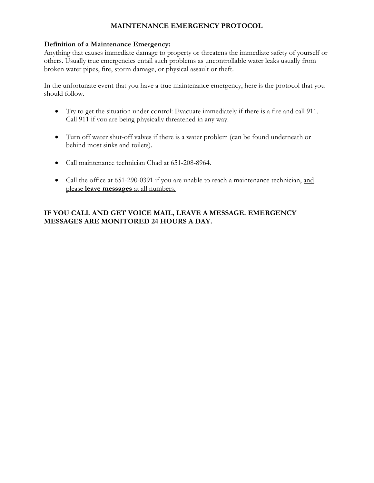## MAINTENANCE EMERGENCY PROTOCOL

#### Definition of a Maintenance Emergency:

Anything that causes immediate damage to property or threatens the immediate safety of yourself or others. Usually true emergencies entail such problems as uncontrollable water leaks usually from broken water pipes, fire, storm damage, or physical assault or theft.

In the unfortunate event that you have a true maintenance emergency, here is the protocol that you should follow.

- Try to get the situation under control: Evacuate immediately if there is a fire and call 911. Call 911 if you are being physically threatened in any way.
- Turn off water shut-off valves if there is a water problem (can be found underneath or behind most sinks and toilets).
- Call maintenance technician Chad at 651-208-8964.
- Call the office at 651-290-0391 if you are unable to reach a maintenance technician, and please leave messages at all numbers.

## IF YOU CALL AND GET VOICE MAIL, LEAVE A MESSAGE. EMERGENCY MESSAGES ARE MONITORED 24 HOURS A DAY.